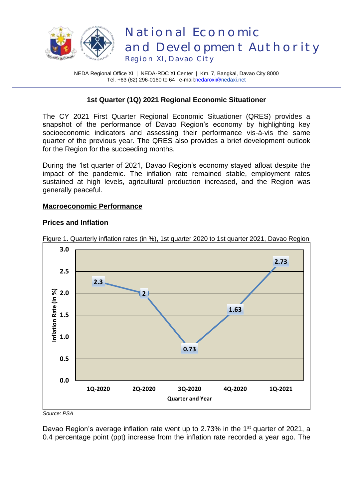

NEDA Regional Office XI | NEDA-RDC XI Center | Km. 7, Bangkal, Davao City 8000 Tel. +63 (82) 296-0160 to 64 | e-mail[:nedaroxi@n](mailto:nedaroxi@)edaxi.net

### **1st Quarter (1Q) 2021 Regional Economic Situationer**

The CY 2021 First Quarter Regional Economic Situationer (QRES) provides a snapshot of the performance of Davao Region's economy by highlighting key socioeconomic indicators and assessing their performance vis-à-vis the same quarter of the previous year. The QRES also provides a brief development outlook for the Region for the succeeding months.

During the 1st quarter of 2021, Davao Region's economy stayed afloat despite the impact of the pandemic. The inflation rate remained stable, employment rates sustained at high levels, agricultural production increased, and the Region was generally peaceful.

#### **Macroeconomic Performance**

#### **Prices and Inflation**



Figure 1. Quarterly inflation rates (in %), 1st quarter 2020 to 1st quarter 2021, Davao Region

*Source: PSA* 

Davao Region's average inflation rate went up to 2.73% in the 1<sup>st</sup> quarter of 2021, a 0.4 percentage point (ppt) increase from the inflation rate recorded a year ago. The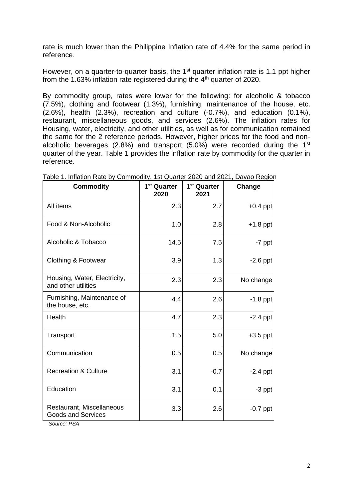rate is much lower than the Philippine Inflation rate of 4.4% for the same period in reference.

However, on a quarter-to-quarter basis, the 1<sup>st</sup> quarter inflation rate is 1.1 ppt higher from the 1.63% inflation rate registered during the 4<sup>th</sup> quarter of 2020.

By commodity group, rates were lower for the following: for alcoholic & tobacco (7.5%), clothing and footwear (1.3%), furnishing, maintenance of the house, etc. (2.6%), health (2.3%), recreation and culture (-0.7%), and education (0.1%), restaurant, miscellaneous goods, and services (2.6%). The inflation rates for Housing, water, electricity, and other utilities, as well as for communication remained the same for the 2 reference periods. However, higher prices for the food and nonalcoholic beverages (2.8%) and transport (5.0%) were recorded during the  $1<sup>st</sup>$ quarter of the year. Table 1 provides the inflation rate by commodity for the quarter in reference.

| <b>Commodity</b>                                                                                   | 1 <sup>st</sup> Quarter<br>2020 | 1 <sup>st</sup> Quarter<br>2021 | Change     |
|----------------------------------------------------------------------------------------------------|---------------------------------|---------------------------------|------------|
| All items                                                                                          | 2.3                             | 2.7                             | $+0.4$ ppt |
| Food & Non-Alcoholic                                                                               | 1.0                             | 2.8                             | $+1.8$ ppt |
| Alcoholic & Tobacco                                                                                | 14.5                            | 7.5                             | -7 ppt     |
| Clothing & Footwear                                                                                | 3.9                             | 1.3                             | $-2.6$ ppt |
| Housing, Water, Electricity,<br>and other utilities                                                | 2.3                             | 2.3                             | No change  |
| Furnishing, Maintenance of<br>the house, etc.                                                      | 4.4                             | 2.6                             | $-1.8$ ppt |
| Health                                                                                             | 4.7                             | 2.3                             | $-2.4$ ppt |
| Transport                                                                                          | 1.5                             | 5.0                             | $+3.5$ ppt |
| Communication                                                                                      | 0.5                             | 0.5                             | No change  |
| <b>Recreation &amp; Culture</b>                                                                    | 3.1                             | $-0.7$                          | $-2.4$ ppt |
| Education                                                                                          | 3.1                             | 0.1                             | $-3$ ppt   |
| Restaurant, Miscellaneous<br><b>Goods and Services</b><br>$P_{\text{out}}$ $\sim$ $P_{\text{out}}$ | 3.3                             | 2.6                             | $-0.7$ ppt |

Table 1. Inflation Rate by Commodity, 1st Quarter 2020 and 2021, Davao Region

 *Source: PSA*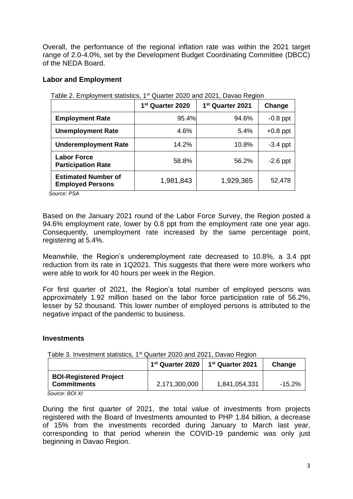Overall, the performance of the regional inflation rate was within the 2021 target range of 2.0-4.0%, set by the Development Budget Coordinating Committee (DBCC) of the NEDA Board.

### **Labor and Employment**

|                                                       | 1 <sup>st</sup> Quarter 2020 | 1 <sup>st</sup> Quarter 2021 | Change     |
|-------------------------------------------------------|------------------------------|------------------------------|------------|
| <b>Employment Rate</b>                                | 95.4%                        | 94.6%                        | $-0.8$ ppt |
| <b>Unemployment Rate</b>                              | 4.6%                         | 5.4%                         | $+0.8$ ppt |
| <b>Underemployment Rate</b>                           | 14.2%                        | 10.8%                        | $-3.4$ ppt |
| <b>Labor Force</b><br><b>Participation Rate</b>       | 58.8%                        | 56.2%                        | $-2.6$ ppt |
| <b>Estimated Number of</b><br><b>Employed Persons</b> | 1,981,843                    | 1,929,365                    | 52,478     |

Table 2. Employment statistics, 1st Quarter 2020 and 2021, Davao Region

 *Source: PSA*

Based on the January 2021 round of the Labor Force Survey, the Region posted a 94.6% employment rate, lower by 0.8 ppt from the employment rate one year ago. Consequently, unemployment rate increased by the same percentage point, registering at 5.4%.

Meanwhile, the Region's underemployment rate decreased to 10.8%, a 3.4 ppt reduction from its rate in 1Q2021. This suggests that there were more workers who were able to work for 40 hours per week in the Region.

For first quarter of 2021, the Region's total number of employed persons was approximately 1.92 million based on the labor force participation rate of 56.2%, lesser by 52 thousand. This lower number of employed persons is attributed to the negative impact of the pandemic to business.

#### **Investments**

| Table 3. Investment statistics, 1 <sup>st</sup> Quarter 2020 and 2021, Davao Region |  |
|-------------------------------------------------------------------------------------|--|
|                                                                                     |  |

|                                                     | 1 <sup>st</sup> Quarter 2020 | 1 <sup>st</sup> Quarter 2021 | Change    |
|-----------------------------------------------------|------------------------------|------------------------------|-----------|
| <b>BOI-Registered Project</b><br><b>Commitments</b> | 2,171,300,000                | 1,841,054,331                | $-15.2\%$ |

 *Source: BOI XI*

During the first quarter of 2021, the total value of investments from projects registered with the Board of Investments amounted to PHP 1.84 billion, a decrease of 15% from the investments recorded during January to March last year, corresponding to that period wherein the COVID-19 pandemic was only just beginning in Davao Region.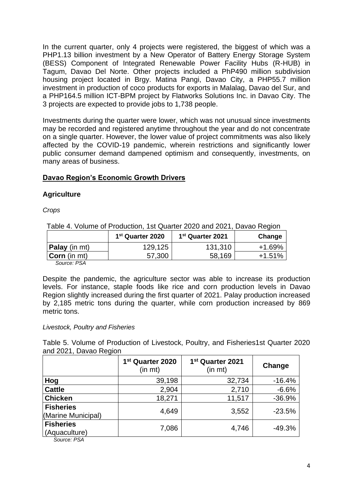In the current quarter, only 4 projects were registered, the biggest of which was a PHP1.13 billion investment by a New Operator of Battery Energy Storage System (BESS) Component of Integrated Renewable Power Facility Hubs (R-HUB) in Tagum, Davao Del Norte. Other projects included a PhP490 million subdivision housing project located in Brgy. Matina Pangi, Davao City, a PHP55.7 million investment in production of coco products for exports in Malalag, Davao del Sur, and a PHP164.5 million ICT-BPM project by Flatworks Solutions Inc. in Davao City. The 3 projects are expected to provide jobs to 1,738 people.

Investments during the quarter were lower, which was not unusual since investments may be recorded and registered anytime throughout the year and do not concentrate on a single quarter. However, the lower value of project commitments was also likely affected by the COVID-19 pandemic, wherein restrictions and significantly lower public consumer demand dampened optimism and consequently, investments, on many areas of business.

### **Davao Region's Economic Growth Drivers**

### **Agriculture**

*Crops* 

Table 4. Volume of Production, 1st Quarter 2020 and 2021, Davao Region

|                      | 1 <sup>st</sup> Quarter 2020 | 1 <sup>st</sup> Quarter 2021 | Change |
|----------------------|------------------------------|------------------------------|--------|
| <b>Palay</b> (in mt) | 129,125                      | 131,310                      | +1.69% |
| <b>Corn</b> (in mt)  | 57,300                       | 58,169                       | +1.51% |
| $\sim$ $\sim$        |                              |                              |        |

*Source: PSA*

Despite the pandemic, the agriculture sector was able to increase its production levels. For instance, staple foods like rice and corn production levels in Davao Region slightly increased during the first quarter of 2021. Palay production increased by 2,185 metric tons during the quarter, while corn production increased by 869 metric tons.

### *Livestock, Poultry and Fisheries*

Table 5. Volume of Production of Livestock, Poultry, and Fisheries1st Quarter 2020 and 2021, Davao Region

|                                        | 1 <sup>st</sup> Quarter 2020<br>(in mt) | 1 <sup>st</sup> Quarter 2021<br>(in mt) | Change   |
|----------------------------------------|-----------------------------------------|-----------------------------------------|----------|
| Hog                                    | 39,198                                  | 32,734                                  | $-16.4%$ |
| <b>Cattle</b>                          | 2,904                                   | 2,710                                   | $-6.6%$  |
| <b>Chicken</b>                         | 18,271                                  | 11,517                                  | $-36.9%$ |
| <b>Fisheries</b><br>(Marine Municipal) | 4,649                                   | 3,552                                   | $-23.5%$ |
| <b>Fisheries</b><br>(Aquaculture)      | 7,086                                   | 4,746                                   | $-49.3%$ |
| Source: PSA                            |                                         |                                         |          |

4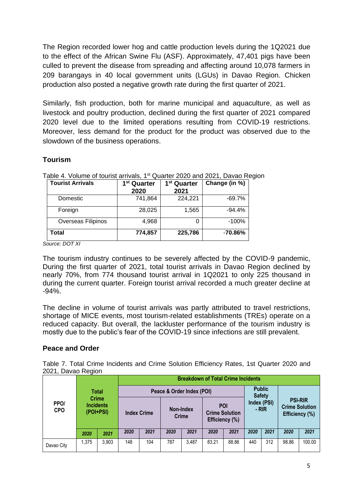The Region recorded lower hog and cattle production levels during the 1Q2021 due to the effect of the African Swine Flu (ASF). Approximately, 47,401 pigs have been culled to prevent the disease from spreading and affecting around 10,078 farmers in 209 barangays in 40 local government units (LGUs) in Davao Region. Chicken production also posted a negative growth rate during the first quarter of 2021.

Similarly, fish production, both for marine municipal and aquaculture, as well as livestock and poultry production, declined during the first quarter of 2021 compared 2020 level due to the limited operations resulting from COVID-19 restrictions. Moreover, less demand for the product for the product was observed due to the slowdown of the business operations.

# **Tourism**

| <b>Tourist Arrivals</b> | 1 <sup>st</sup> Quarter | 1 <sup>st</sup> Quarter | Change (in %) |  |  |
|-------------------------|-------------------------|-------------------------|---------------|--|--|
|                         | 2020                    | 2021                    |               |  |  |
| Domestic                | 741,864                 | 224,221                 | $-69.7%$      |  |  |
| Foreign                 | 28,025                  | 1,565                   | $-94.4%$      |  |  |
| Overseas Filipinos      | 4.968                   |                         | $-100%$       |  |  |
| Total                   | 774,857                 | 225,786                 | $-70.86\%$    |  |  |

Table 4. Volume of tourist arrivals, 1<sup>st</sup> Quarter 2020 and 2021, Davao Region

*Source: DOT XI*

The tourism industry continues to be severely affected by the COVID-9 pandemic, During the first quarter of 2021, total tourist arrivals in Davao Region declined by nearly 70%, from 774 thousand tourist arrival in 1Q2021 to only 225 thousand in during the current quarter. Foreign tourist arrival recorded a much greater decline at -94%.

The decline in volume of tourist arrivals was partly attributed to travel restrictions, shortage of MICE events, most tourism-related establishments (TREs) operate on a reduced capacity. But overall, the lackluster performance of the tourism industry is mostly due to the public's fear of the COVID-19 since infections are still prevalent.

## **Peace and Order**

Table 7. Total Crime Incidents and Crime Solution Efficiency Rates, 1st Quarter 2020 and 2021, Davao Region

|                    |       |                                               |      |                    |                           | <b>Breakdown of Total Crime Incidents</b> |       |                                         |                                                         |      |                                                           |        |
|--------------------|-------|-----------------------------------------------|------|--------------------|---------------------------|-------------------------------------------|-------|-----------------------------------------|---------------------------------------------------------|------|-----------------------------------------------------------|--------|
| PPO/<br><b>CPO</b> |       | Total                                         |      |                    | Peace & Order Index (POI) |                                           |       |                                         | <b>Public</b><br><b>Safety</b><br>Index (PSI)<br>$-RIR$ |      | <b>PSI-RIR</b><br><b>Crime Solution</b><br>Efficiency (%) |        |
|                    |       | <b>Crime</b><br><b>Incidents</b><br>(POI+PSI) |      | <b>Index Crime</b> |                           | Non-Index<br><b>Crime</b>                 | POI   | <b>Crime Solution</b><br>Efficiency (%) |                                                         |      |                                                           |        |
|                    | 2020  | 2021                                          | 2020 | 2021               | 2020                      | 2021                                      | 2020  | 2021                                    | 2020                                                    | 2021 | 2020                                                      | 2021   |
| Davao City         | 1.375 | 3.903                                         | 148  | 104                | 787                       | 3.487                                     | 83.21 | 88.86                                   | 440                                                     | 312  | 98.86                                                     | 100.00 |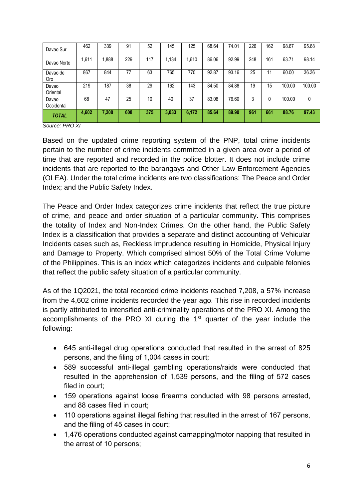| Davao Sur           | 462   | 339   | 91  | 52  | 145   | 125   | 68.64 | 74.01 | 226 | 162 | 98.67  | 95.68  |
|---------------------|-------|-------|-----|-----|-------|-------|-------|-------|-----|-----|--------|--------|
| Davao Norte         | 1,611 | .888  | 229 | 117 | 1.134 | 1.610 | 86.06 | 92.99 | 248 | 161 | 63.71  | 98.14  |
| Davao de<br>Oro     | 867   | 844   | 77  | 63  | 765   | 770   | 92.87 | 93.16 | 25  | 11  | 60.00  | 36.36  |
| Davao<br>Oriental   | 219   | 187   | 38  | 29  | 162   | 143   | 84.50 | 84.88 | 19  | 15  | 100.00 | 100.00 |
| Davao<br>Occidental | 68    | 47    | 25  | 10  | 40    | 37    | 83.08 | 76.60 | 3   |     | 100.00 | 0      |
| <b>TOTAL</b>        | 4,602 | 7,208 | 608 | 375 | 3,033 | 6,172 | 85.64 | 89.90 | 961 | 661 | 88.76  | 97.43  |

*Source: PRO XI*

Based on the updated crime reporting system of the PNP, total crime incidents pertain to the number of crime incidents committed in a given area over a period of time that are reported and recorded in the police blotter. It does not include crime incidents that are reported to the barangays and Other Law Enforcement Agencies (OLEA). Under the total crime incidents are two classifications: The Peace and Order Index; and the Public Safety Index.

The Peace and Order Index categorizes crime incidents that reflect the true picture of crime, and peace and order situation of a particular community. This comprises the totality of Index and Non-Index Crimes. On the other hand, the Public Safety Index is a classification that provides a separate and distinct accounting of Vehicular Incidents cases such as, Reckless Imprudence resulting in Homicide, Physical Injury and Damage to Property. Which comprised almost 50% of the Total Crime Volume of the Philippines. This is an index which categorizes incidents and culpable felonies that reflect the public safety situation of a particular community.

As of the 1Q2021, the total recorded crime incidents reached 7,208, a 57% increase from the 4,602 crime incidents recorded the year ago. This rise in recorded incidents is partly attributed to intensified anti-criminality operations of the PRO XI. Among the accomplishments of the PRO XI during the 1<sup>st</sup> quarter of the year include the following:

- 645 anti-illegal drug operations conducted that resulted in the arrest of 825 persons, and the filing of 1,004 cases in court;
- 589 successful anti-illegal gambling operations/raids were conducted that resulted in the apprehension of 1,539 persons, and the filing of 572 cases filed in court;
- 159 operations against loose firearms conducted with 98 persons arrested, and 88 cases filed in court;
- 110 operations against illegal fishing that resulted in the arrest of 167 persons, and the filing of 45 cases in court;
- 1,476 operations conducted against carnapping/motor napping that resulted in the arrest of 10 persons;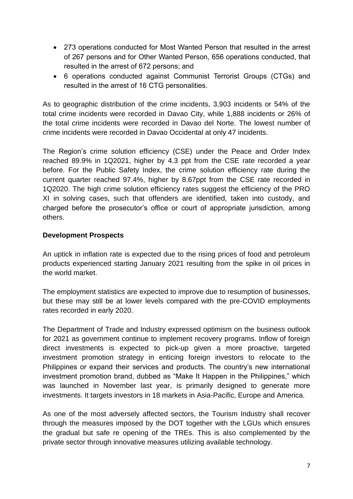- 273 operations conducted for Most Wanted Person that resulted in the arrest of 267 persons and for Other Wanted Person, 656 operations conducted, that resulted in the arrest of 672 persons; and
- 6 operations conducted against Communist Terrorist Groups (CTGs) and resulted in the arrest of 16 CTG personalities.

As to geographic distribution of the crime incidents, 3,903 incidents or 54% of the total crime incidents were recorded in Davao City, while 1,888 incidents or 26% of the total crime incidents were recorded in Davao del Norte. The lowest number of crime incidents were recorded in Davao Occidental at only 47 incidents.

The Region's crime solution efficiency (CSE) under the Peace and Order Index reached 89.9% in 1Q2021, higher by 4.3 ppt from the CSE rate recorded a year before. For the Public Safety Index, the crime solution efficiency rate during the current quarter reached 97.4%, higher by 8.67ppt from the CSE rate recorded in 1Q2020. The high crime solution efficiency rates suggest the efficiency of the PRO XI in solving cases, such that offenders are identified, taken into custody, and charged before the prosecutor's office or court of appropriate jurisdiction, among others.

# **Development Prospects**

An uptick in inflation rate is expected due to the rising prices of food and petroleum products experienced starting January 2021 resulting from the spike in oil prices in the world market.

The employment statistics are expected to improve due to resumption of businesses, but these may still be at lower levels compared with the pre-COVID employments rates recorded in early 2020.

The Department of Trade and Industry expressed optimism on the business outlook for 2021 as government continue to implement recovery programs. Inflow of foreign direct investments is expected to pick-up given a more proactive, targeted investment promotion strategy in enticing foreign investors to relocate to the Philippines or expand their services and products. The country's new international investment promotion brand, dubbed as "Make It Happen in the Philippines," which was launched in November last year, is primarily designed to generate more investments. It targets investors in 18 markets in Asia-Pacific, Europe and America.

As one of the most adversely affected sectors, the Tourism Industry shall recover through the measures imposed by the DOT together with the LGUs which ensures the gradual but safe re opening of the TREs. This is also complemented by the private sector through innovative measures utilizing available technology.